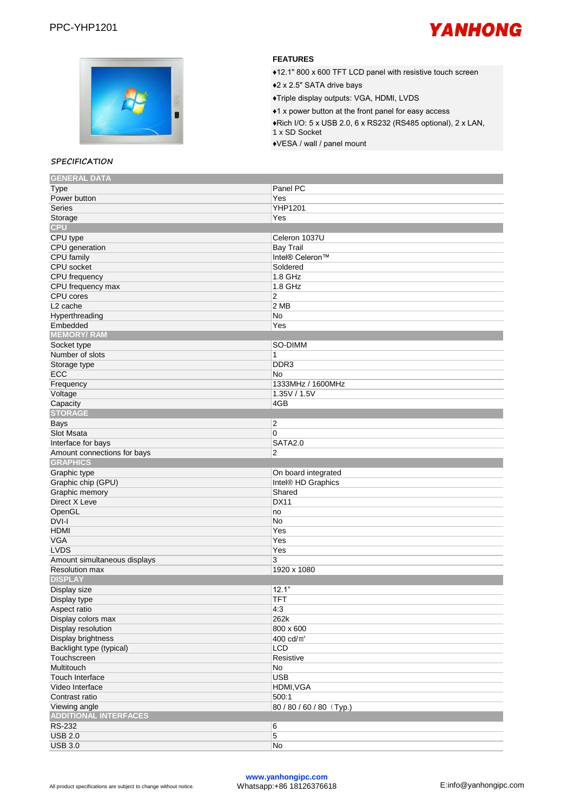



#### **SPECIFICATION GENERAL DATA**

## **FEATURES**

♦12.1" 800 x 600 TFT LCD panel with resistive touch screen ♦2 x 2.5" SATA drive bays ♦Triple display outputs: VGA, HDMI, LVDS ♦1 x power button at the front panel for easy access

♦Rich I/O: 5 x USB 2.0, 6 x RS232 (RS485 optional), 2 x LAN, 1 x SD Socket

♦VESA / wall / panel mount

| <b>GENERAL DATA</b>          |                             |
|------------------------------|-----------------------------|
| <b>Type</b>                  | Panel PC                    |
| Power button                 | Yes                         |
| <b>Series</b>                | YHP1201                     |
| Storage                      | Yes                         |
| <b>CPU</b>                   |                             |
| CPU type                     | Celeron 1037U               |
| CPU generation               | <b>Bay Trail</b>            |
| <b>CPU</b> family            | Intel® Celeron <sup>™</sup> |
| CPU socket                   | Soldered                    |
| CPU frequency                | 1.8 GHz                     |
| CPU frequency max            | 1.8 GHz                     |
| CPU cores                    | 2                           |
| L <sub>2</sub> cache         | 2 MB                        |
| Hyperthreading               | No                          |
| Embedded                     | Yes                         |
|                              |                             |
| <b>MEMORY/RAM</b>            |                             |
| Socket type                  | SO-DIMM                     |
| Number of slots              | 1                           |
| Storage type                 | DDR <sub>3</sub>            |
| ECC                          | No                          |
| Frequency                    | 1333MHz / 1600MHz           |
| Voltage                      | 1.35V / 1.5V                |
| Capacity                     | 4GB                         |
| <b>STORAGE</b>               |                             |
| Bays                         | 2                           |
| Slot Msata                   | 0                           |
| Interface for bays           | <b>SATA2.0</b>              |
| Amount connections for bays  | 2                           |
|                              |                             |
| <b>GRAPHICS</b>              |                             |
|                              |                             |
| Graphic type                 | On board integrated         |
| Graphic chip (GPU)           | Intel® HD Graphics          |
| Graphic memory               | Shared                      |
| Direct X Leve                | <b>DX11</b>                 |
| OpenGL                       | no                          |
| DVI-I                        | No                          |
| <b>HDMI</b>                  | Yes                         |
| <b>VGA</b>                   | Yes                         |
| <b>LVDS</b>                  | Yes                         |
| Amount simultaneous displays | 3                           |
| <b>Resolution max</b>        | 1920 x 1080                 |
| <b>DISPLAY</b>               |                             |
| Display size                 | 12.1"                       |
| Display type                 | <b>TFT</b>                  |
| Aspect ratio                 | 4:3                         |
| Display colors max           | 262k                        |
| Display resolution           | 800 x 600                   |
| <b>Display brightness</b>    | 400 cd/m <sup>2</sup>       |
| Backlight type (typical)     | LCD                         |
| Touchscreen                  | Resistive                   |
| Multitouch                   | No                          |
| Touch Interface              | <b>USB</b>                  |
| Video Interface              | HDMI, VGA                   |
| Contrast ratio               | 500:1                       |
| Viewing angle                | 80/80/60/80 (Typ.)          |
| <b>ADDITIONAL INTERFACES</b> |                             |
| RS-232                       | 6                           |
| <b>USB 2.0</b>               | 5                           |
| <b>USB 3.0</b>               | No                          |